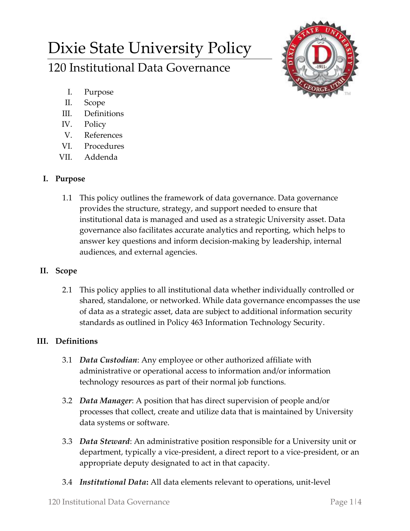# Dixie State University Policy

120 Institutional Data Governance

- I. Purpose
- II. Scope
- III. Definitions
- IV. Policy
- V. References
- VI. Procedures
- VII. Addenda

# **I. Purpose**

1.1 This policy outlines the framework of data governance. Data governance provides the structure, strategy, and support needed to ensure that institutional data is managed and used as a strategic University asset. Data governance also facilitates accurate analytics and reporting, which helps to answer key questions and inform decision-making by leadership, internal audiences, and external agencies.

# **II. Scope**

2.1 This policy applies to all institutional data whether individually controlled or shared, standalone, or networked. While data governance encompasses the use of data as a strategic asset, data are subject to additional information security standards as outlined in Policy 463 Information Technology Security.

# **III. Definitions**

- 3.1 *Data Custodian*: Any employee or other authorized affiliate with administrative or operational access to information and/or information technology resources as part of their normal job functions.
- 3.2 *Data Manager*: A position that has direct supervision of people and/or processes that collect, create and utilize data that is maintained by University data systems or software.
- 3.3 *Data Steward*: An administrative position responsible for a University unit or department, typically a vice-president, a direct report to a vice-president, or an appropriate deputy designated to act in that capacity.
- 3.4 *Institutional Data***:** All data elements relevant to operations, unit-level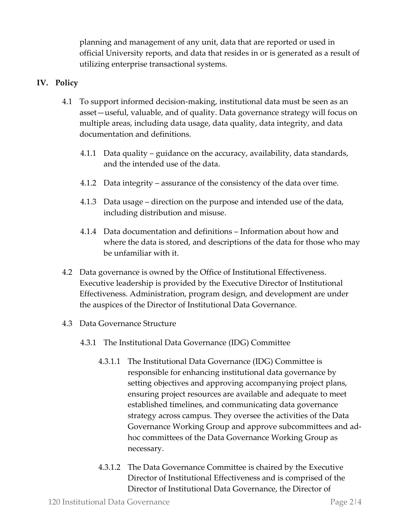planning and management of any unit, data that are reported or used in official University reports, and data that resides in or is generated as a result of utilizing enterprise transactional systems.

## **IV. Policy**

- 4.1 To support informed decision-making, institutional data must be seen as an asset—useful, valuable, and of quality. Data governance strategy will focus on multiple areas, including data usage, data quality, data integrity, and data documentation and definitions.
	- 4.1.1 Data quality guidance on the accuracy, availability, data standards, and the intended use of the data.
	- 4.1.2 Data integrity assurance of the consistency of the data over time.
	- 4.1.3 Data usage direction on the purpose and intended use of the data, including distribution and misuse.
	- 4.1.4 Data documentation and definitions Information about how and where the data is stored, and descriptions of the data for those who may be unfamiliar with it.
- 4.2 Data governance is owned by the Office of Institutional Effectiveness. Executive leadership is provided by the Executive Director of Institutional Effectiveness. Administration, program design, and development are under the auspices of the Director of Institutional Data Governance.
- 4.3 Data Governance Structure
	- 4.3.1 The Institutional Data Governance (IDG) Committee
		- 4.3.1.1 The Institutional Data Governance (IDG) Committee is responsible for enhancing institutional data governance by setting objectives and approving accompanying project plans, ensuring project resources are available and adequate to meet established timelines, and communicating data governance strategy across campus. They oversee the activities of the Data Governance Working Group and approve subcommittees and adhoc committees of the Data Governance Working Group as necessary.
		- 4.3.1.2 The Data Governance Committee is chaired by the Executive Director of Institutional Effectiveness and is comprised of the Director of Institutional Data Governance, the Director of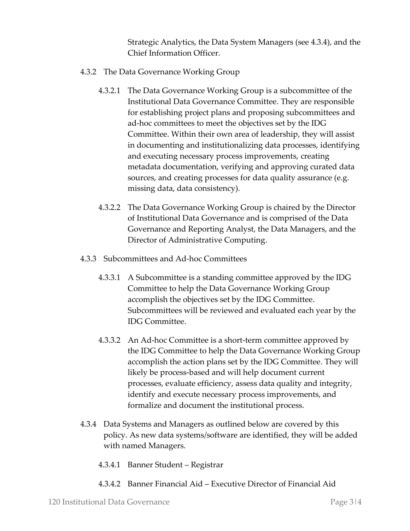Strategic Analytics, the Data System Managers (see 4.3.4), and the Chief Information Officer.

- 4.3.2 The Data Governance Working Group
	- 4.3.2.1 The Data Governance Working Group is a subcommittee of the Institutional Data Governance Committee. They are responsible for establishing project plans and proposing subcommittees and ad-hoc committees to meet the objectives set by the IDG Committee. Within their own area of leadership, they will assist in documenting and institutionalizing data processes, identifying and executing necessary process improvements, creating metadata documentation, verifying and approving curated data sources, and creating processes for data quality assurance (e.g. missing data, data consistency).
	- 4.3.2.2 The Data Governance Working Group is chaired by the Director of Institutional Data Governance and is comprised of the Data Governance and Reporting Analyst, the Data Managers, and the Director of Administrative Computing.
- 4.3.3 Subcommittees and Ad-hoc Committees
	- 4.3.3.1 A Subcommittee is a standing committee approved by the IDG Committee to help the Data Governance Working Group accomplish the objectives set by the IDG Committee. Subcommittees will be reviewed and evaluated each year by the IDG Committee.
	- 4.3.3.2 An Ad-hoc Committee is a short-term committee approved by the IDG Committee to help the Data Governance Working Group accomplish the action plans set by the IDG Committee. They will likely be process-based and will help document current processes, evaluate efficiency, assess data quality and integrity, identify and execute necessary process improvements, and formalize and document the institutional process.
- 4.3.4 Data Systems and Managers as outlined below are covered by this policy. As new data systems/software are identified, they will be added with named Managers.
	- 4.3.4.1 Banner Student Registrar
	- 4.3.4.2 Banner Financial Aid Executive Director of Financial Aid